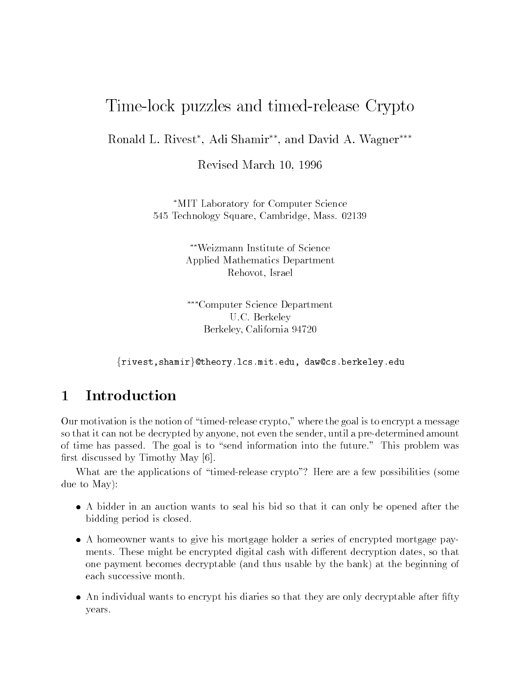# Time-lock puzzles and timed-release Crypto

Ronald L Rivest - Adi Shamir- and David A Wagner

Revised March -

MIT Laboratory for Computer Science - Technology Square Cambridge Mass 

> Weizmann Institute of Science Applied Mathematics Department Rehovot, Israel

Computer Science Department U.C. Berkeley Berkeley California -

 $\{\texttt{rivest}, \texttt{shamir}\}$ @theory.lcs.mit.edu, daw@cs.berkeley.edu

#### Introduction  $\mathbf{1}$

Our motivation is the notion of "timed-release crypto," where the goal is to encrypt a message so that it can not be decrypted by anyone, not even the sender, until a pre-determined amount of time has passed. The goal is to "send information into the future." This problem was first discussed by Timothy May  $[6]$ .

What are the applications of "timed-release crypto"? Here are a few possibilities (some due to May

- $\bullet$  A bidder in an auction wants to seal his bid so that it can only be opened after the  $\phantom{1}$ bidding period is closed
- $\bullet$  A homeowner wants to give his mortgage holder a series of encrypted mortgage payments. These might be encrypted digital cash with different decryption dates, so that one payment becomes decryptable (and thus usable by the bank) at the beginning of each successive month
- $\bullet$  An individual wants to encrypt his diaries so that they are only decryptable after fifty  $\hspace{0.1mm}$ years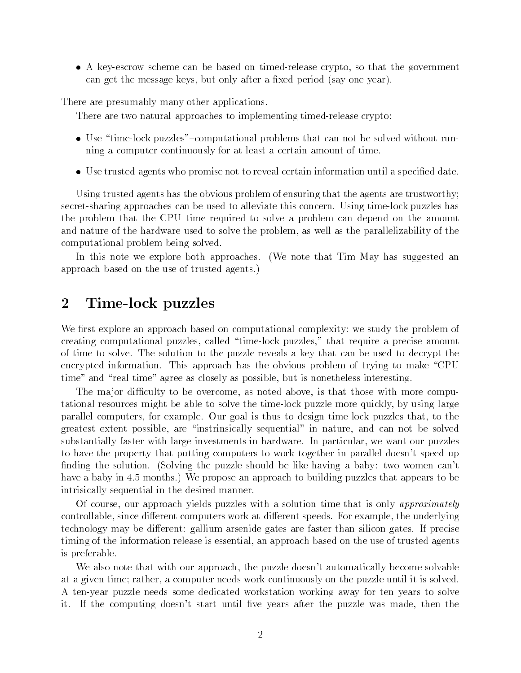$\bullet$  A key-escrow scheme can be based on timed-release crypto, so that the government can get the message keys, but only after a fixed period (say one year).

There are presumably many other applications

There are two natural approaches to implementing timed-release crypto:

- $\bullet$  Use "time-lock puzzles"—computational problems that can not be solved without running a computer continuously for at least a certain amount of time
- $\bullet$  Use trusted agents who promise not to reveal certain information until a specified date.  $\bullet$

Using trusted agents has the obvious problem of ensuring that the agents are trustworthy secret-sharing approaches can be used to alleviate this concern. Using time-lock puzzles has the problem that the CPU time required to solve a problem can depend on the amount and nature of the hardware used to solve the problem, as well as the parallelizability of the computational problem being solved

In this note we explore both approaches. (We note that Tim May has suggested an approach based on the use of trusted agents

#### $\overline{2}$ Time-lock puzzles

We first explore an approach based on computational complexity: we study the problem of creating computational puzzles, called "time-lock puzzles," that require a precise amount of time to solve. The solution to the puzzle reveals a key that can be used to decrypt the encrypted information. This approach has the obvious problem of trying to make "CPU" time" and "real time" agree as closely as possible, but is nonetheless interesting.

The major difficulty to be overcome, as noted above, is that those with more computational resources might be able to solve the timelock puzzle more quickly by using large parallel computers, for example. Our goal is thus to design time-lock puzzles that, to the greatest extent possible, are "instrinsically sequential" in nature, and can not be solved substantially faster with large investments in hardware. In particular, we want our puzzles to have the property that putting computers to work together in parallel doesn't speed up finding the solution. (Solving the puzzle should be like having a baby: two women can't have a baby in - months We propose an approach to building puzzles that appears to be intrisically sequential in the desired manner

Of course, our approach yields puzzles with a solution time that is only approximately controllable, since different computers work at different speeds. For example, the underlying technology may be different: gallium arsenide gates are faster than silicon gates. If precise timing of the information release is essential an approach based on the use of trusted agents is preferable

We also note that with our approach, the puzzle doesn't automatically become solvable at a given time; rather, a computer needs work continuously on the puzzle until it is solved. A tenyear puzzle needs some dedicated workstation working away for ten years to solve it. If the computing doesn't start until five years after the puzzle was made, then the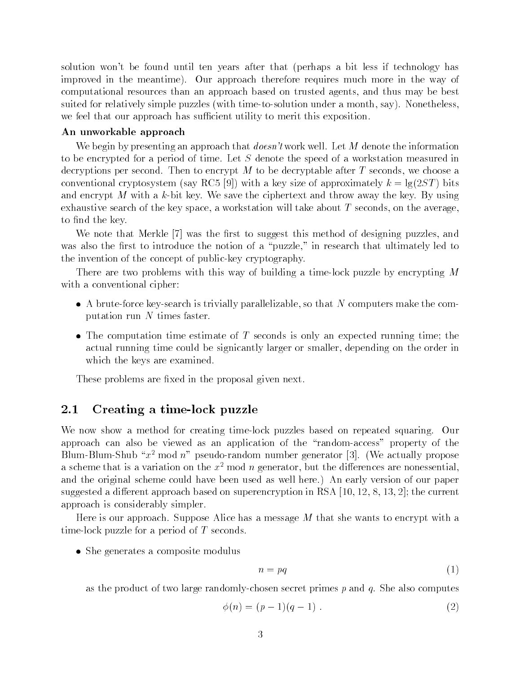solution won't be found until ten years after that (perhaps a bit less if technology has improved in the meantime). Our approach therefore requires much more in the way of computational resources than an approach based on trusted agents and thus may be best suited for relatively simple puzzles (with time-to-solution under a month, say). Nonetheless. we feel that our approach has sufficient utility to merit this exposition.

### An unworkable approach

We begin by presenting an approach that  $\text{doesn't}$  work well. Let M denote the information to be encrypted for a period of time. Let  $S$  denote the speed of a workstation measured in decryptions per second. Then to encrypt M to be decryptable after T seconds, we choose a conventional cryptosystem (say RC5 [9]) with a key size of approximately  $k = \lg(2ST)$  bits and encrypt M with a k-bit key. We save the ciphertext and throw away the key. By using exhaustive search of the key space, a workstation will take about  $T$  seconds, on the average, to find the key.

was the rest to such that  $\mathcal{M}$  is the rest to suggest the rest to suggesting pures and  $\mathcal{M}$ was also the first to introduce the notion of a "puzzle," in research that ultimately led to the invention of the concept of public-key cryptography.

There are two problems with this way of building a time-lock puzzle by encrypting  $M$ with a conventional cipher:

- $\bullet$  A brute-force key-search is trivially parallelizable, so that  $N$  computers make the computation run  $N$  times faster.
- $\bullet$  The computation time estimate of T seconds is only an expected running time; the actual running time could be signicantly larger or smaller, depending on the order in which the keys are examined

These problems are fixed in the proposal given next.

#### 2.1 Creating a time-lock puzzle

We now show a method for creating time-lock puzzles based on repeated squaring. Our approach can also be viewed as an application of the "random-access" property of the Blum-Blum-Shub " $x^2$  mod  $n$ " pseudo-random number generator [3]. (We actually propose a scheme that is a variation on the  $x^2$  mod n generator, but the differences are nonessential, and the original scheme could have been used as well here.) An early version of our paper suggested a different approach based on superencryption in RSA  $[10, 12, 8, 13, 2]$ ; the current approach is considerably simpler

Here is our approach. Suppose Alice has a message  $M$  that she wants to encrypt with a time-lock puzzle for a period of  $T$  seconds.

 $\bullet\,$  She generates a composite modulus  $\,$ 

$$
n = pq \tag{1}
$$

as the product of two large randomly-chosen secret primes  $p$  and  $q$ . She also computes

$$
\phi(n) = (p-1)(q-1) . \tag{2}
$$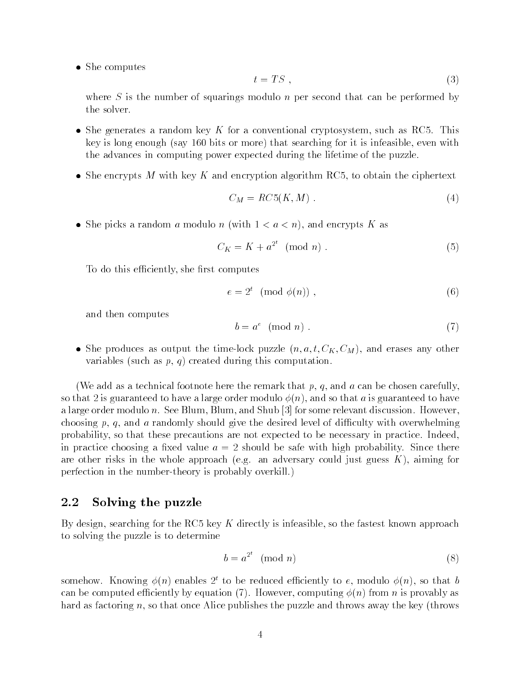$\bullet\,$  She computes  $\,$ 

$$
t = TS \t{3}
$$

where  $S$  is the number of squarings modulo n per second that can be performed by the solver.

- $\bullet$  She generates a random key K for a conventional cryptosystem, such as RC5. This key is long enough (say  $160$  bits or more) that searching for it is infeasible, even with the advances in computing power expected during the lifetime of the puzzle
- $\bullet$  She encrypts M with key K and encryption algorithm RC5, to obtain the ciphertext

$$
C_M = RC5(K,M) \tag{4}
$$

• She picks a random a modulo n (with  $1 < a < n$ ), and encrypts K as

$$
C_K = K + a^{2^t} \pmod{n} \tag{5}
$$

To do this efficiently, she first computes

$$
e = 2t \pmod{\phi(n)},\tag{6}
$$

and then computes

$$
b = a^e \pmod{n} \tag{7}
$$

 $\bullet$  she produces as output the time-lock puzzle  $(n, a, t, C_K, C_M)$ , and erases any other variables (such as  $p, q$ ) created during this computation.

(We add as a technical footnote here the remark that  $p, q$ , and  $a$  can be chosen carefully. so that 2 is guaranteed to have a large order modulo  $\phi(n)$ , and so that a is guaranteed to have a large order modulo n. See Blum, Blum, and Shub  $[3]$  for some relevant discussion. However, choosing p, q, and a randomly should give the desired level of difficulty with overwhelming probability so that these precautions are not expected to be necessary in practice Indeed in practice choosing a fixed value  $a = 2$  should be safe with high probability. Since there are other risks in the whole approach (e.g. an adversary could just guess  $K$ ), aiming for perfection in the number-theory is probably overkill.)

#### 2.2 Solving the puzzle

By design, searching for the RC5 key K directly is infeasible, so the fastest known approach to solving the puzzle is to determine

$$
b = a^{2^t} \pmod{n} \tag{8}
$$

somehow. Knowing  $\phi(n)$  enables  $2^t$  to be reduced efficiently to e, modulo  $\phi(n)$ , so that b can be computed existing by equations ( )). The computing play is proved in from  $\mu$  as  $\mu$  as  $\mu$ hard as factoring n, so that once Alice publishes the puzzle and throws away the key (throws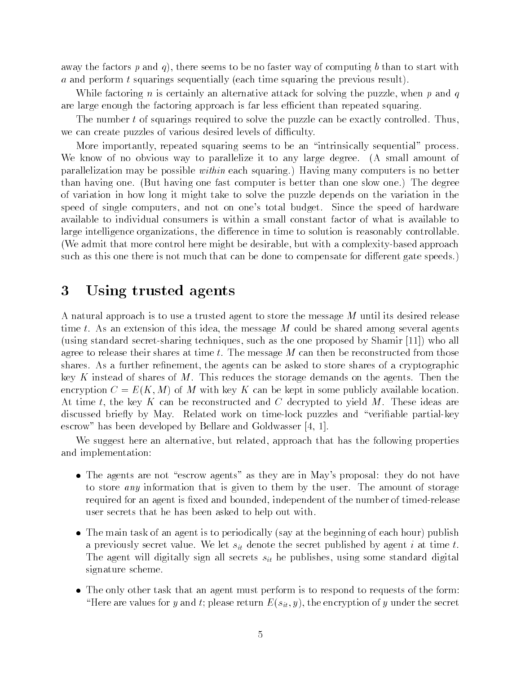away the factors p and q), there seems to be no faster way of computing b than to start with a and perform t squarings sequentially (each time squaring the previous result).

While factoring n is certainly an alternative attack for solving the puzzle, when p and q are large enough the factoring approach is far less efficient than repeated squaring.

The number t of squarings required to solve the puzzle can be exactly controlled. Thus, we can create puzzles of various desired levels of difficulty.

More importantly, repeated squaring seems to be an "intrinsically sequential" process. We know of no obvious way to parallelize it to any large degree. (A small amount of parallelization may be possible *within* each squaring.) Having many computers is no better than having one. (But having one fast computer is better than one slow one.) The degree of variation in how long it might take to solve the puzzle depends on the variation in the speed of single computers, and not on one's total budget. Since the speed of hardware available to individual consumers is within a small constant factor of what is available to large intelligence organizations, the difference in time to solution is reasonably controllable. (We admit that more control here might be desirable, but with a complexity-based approach such as this one there is not much that can be done to compensate for different gate speeds.)

#### 3 Using trusted agents

A natural approach is to use a trusted agent to store the message <sup>M</sup> until its desired release time t. As an extension of this idea, the message  $M$  could be shared among several agents (using standard secret-sharing techniques, such as the one proposed by Shamir  $[11]$ ) who all agree to release their shares at time t. The message  $M$  can then be reconstructed from those shares. As a further refinement, the agents can be asked to store shares of a cryptographic key K instead of shares of M. This reduces the storage demands on the agents. Then the encryption  $C = E(K, M)$  of M with key K can be kept in some publicly available location. At time t, the key K can be reconstructed and C decrypted to yield M. These ideas are discussed briefly by May. Related work on time-lock puzzles and "verifiable partial-key escrow
has been developed by Bellare and Goldwasser -

We suggest here an alternative, but related, approach that has the following properties and implementation

- $\bullet$  The agents are not "escrow agents" as they are in May's proposal: they do not have to store *any* information that is given to them by the user. The amount of storage required for an agent is fixed and bounded, independent of the number of timed-release user secrets that he has been asked to help out with
- $\bullet$  The main task of an agent is to periodically (say at the beginning of each hour) publish a previously secret value. We let  $s_{it}$  denote the secret published by agent i at time t. The agent will digitally sign all secrets  $s_{it}$  he publishes, using some standard digital signature scheme
- $\bullet$  The only other task that an agent must perform is to respond to requests of the form: "Here are values for y and t; please return  $E(s_{it}, y)$ , the encryption of y under the secret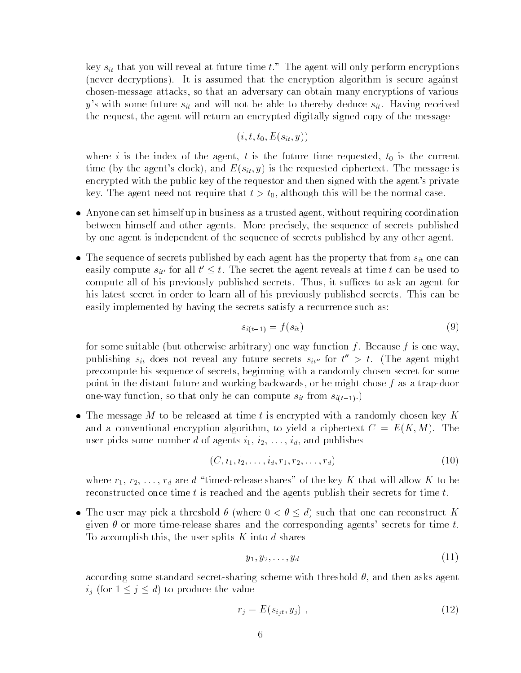key  $s_{it}$  that you will reveal at future time t." The agent will only perform encryptions (never decryptions). It is assumed that the encryption algorithm is secure against chosenmessage attacks so that an adversary can obtain many encryptions of various y's with some future  $s_{it}$  and will not be able to thereby deduce  $s_{it}$ . Having received the request, the agent will return an encrypted digitally signed copy of the message

$$
(i,t,t_0,E(s_{it},y))\\
$$

where i is the index of the agent) the the future time requested to a the current time time (by the agent's clock), and  $E(s_{it}, y)$  is the requested ciphertext. The message is encrypted with the public key of the requestor and then signed with the agent's private  $\mathcal{L}^{\text{max}}$  the agent the although the substitution that the normal case  $\mathcal{L}^{\text{max}}$  this will be the normal case of  $\mathcal{L}^{\text{max}}$ 

- $\bullet$  -Anyone can set himself up in business as a trusted agent, without requiring coordination between himself and other agents More precisely the sequence of secrets published by one agent is independent of the sequence of secrets published by any other agent
- $\bullet$  The sequence of secrets published by each agent has the property that from  $s_{it}$  one can easily compute  $s_{it'}$  for all  $t' \leq t$ . The secret the agent reveals at time t can be used to compute all of his previously published secrets. Thus, it suffices to ask an agent for his latest secret in order to learn all of his previously published secrets. This can be easily implemented by having the secrets satisfy a recurrence such as:

$$
s_{i(t-1)} = f(s_{it}) \tag{9}
$$

for some suitable (but otherwise arbitrary) one-way function f. Because f is one-way, publishing  $s_{it}$  does not reveal any future secrets  $s_{it''}$  for  $t^+ > t$  . The agent might precompute his sequence of secrets beginning with a randomly chosen secret for some point in the distant future and working backwards, or he might chose  $f$  as a trap-door one-way function, so that only he can compute  $s_{it}$  from  $s_{i(t-1)}$ .

 $\bullet$  The message M to be released at time t is encrypted with a randomly chosen key K and a conventional encryption algorithm, to yield a ciphertext  $C = E(K, M)$ . The user picks some some some number die ontwikkelig is in die stellingen publishes om die staats van die stelling

$$
(C, i_1, i_2, \ldots, i_d, r_1, r_2, \ldots, r_d)
$$
\n<sup>(10)</sup>

where r r r r r r r are d are d to the key K to be key K to be allow the shares will allow K to be a set of th reconstructed once time  $t$  is reached and the agents publish their secrets for time  $t$ .

• The user may pick a threshold  $\theta$  (where  $0 < \theta \leq d$ ) such that one can reconstruct K given  $\theta$  or more time-release shares and the corresponding agents' secrets for time t. To accomplish this, the user splits  $K$  into  $d$  shares

$$
y_1, y_2, \ldots, y_d \tag{11}
$$

according some standard secret-sharing scheme with threshold  $\theta$ , and then asks agent  $i_j$  (for  $1 \leq j \leq d$ ) to produce the value

$$
r_j = E(s_{i_j t}, y_j) \tag{12}
$$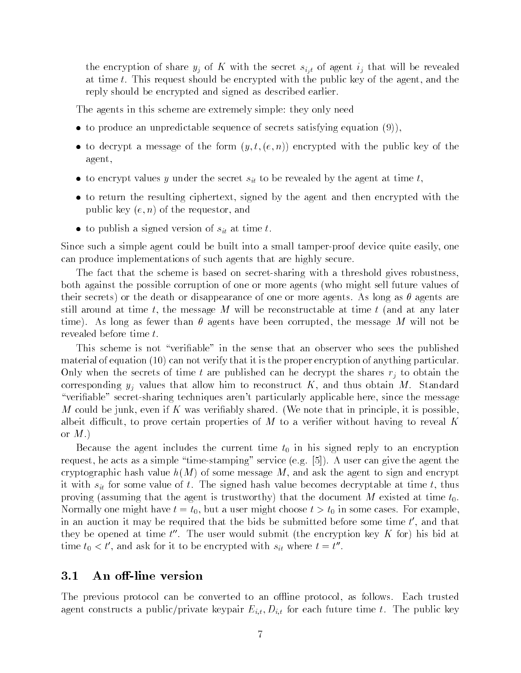the encryption of share  $y_j$  of K with the secret  $s_{i,i}$  of agent  $i_j$  that will be revealed at time t. This request should be encrypted with the public key of the agent, and the reply should be encrypted and signed as described earlier

The agents in this scheme are extremely simple: they only need

- $\bullet$  to produce an unpredictable sequence of secrets satisfying equation (9)),
- $\bullet$  to decrypt a message of the form  $(y, t, (e, n))$  encrypted with the public key of the agent
- $\bullet$  to encrypt values y under the secret  $s_{it}$  to be revealed by the agent at time  $t,$
- $\bullet$  to return the resulting ciphertext, signed by the agent and then encrypted with the  $\hspace{0.1mm}$ public key  $(e, n)$  of the requestor, and
- $\bullet$  to publish a signed version of  $s_{it}$  at time  $t$ .

Since such a simple agent could be built into a small tamper-proof device quite easily, one can produce implementations of such agents that are highly secure

The fact that the scheme is based on secret-sharing with a threshold gives robustness, both against the possible corruption of one or more agents (who might sell future values of their secrets) or the death or disappearance of one or more agents. As long as  $\theta$  agents are still around at time t, the message M will be reconstructable at time t (and at any later time). As long as fewer than  $\theta$  agents have been corrupted, the message M will not be revealed before time t.

This scheme is not "verifiable" in the sense that an observer who sees the published material of equation  $(10)$  can not verify that it is the proper encryption of anything particular. Only when the secrets of time t are published can he decrypt the shares  $r_j$  to obtain the corresponding  $y_i$  values that allow him to reconstruct K, and thus obtain M. Standard "verifiable" secret-sharing techniques aren't particularly applicable here, since the message M could be junk, even if K was verifiably shared. (We note that in principle, it is possible. albeit difficult, to prove certain properties of  $M$  to a verifier without having to reveal K or  $M.$ )

e the and the agent includes the current time to an encounter the property to an encryption and request, he acts as a simple "time-stamping" service (e.g.  $[5]$ ). A user can give the agent the cryptographic hash value  $h(M)$  of some message M, and ask the agent to sign and encrypt it with  $s_{it}$  for some value of t. The signed hash value becomes decryptable at time t, thus proving assuming that the agent is trustworthy that the document <sup>M</sup> existed at time t normally one might have the t-but a user might choose the choose that we can construct the contrary of the some in an auction it may be required that the bids be submitted before some time  $t$  , and that  $\hspace{0.1mm}$ they be opened at time  $t$  . The user would submit the encryption key  $K$  for) his bid at there  $t_0 \leq t$ , and ask for it to be encrypted with  $s_{it}$  where  $t = t$ .

#### $3.1$ An off-line version

The previous protocol can be converted to an offline protocol, as follows. Each trusted agent constructs a public/private keypair  $E_{i,t}$ ,  $D_{i,t}$  for each future time t. The public key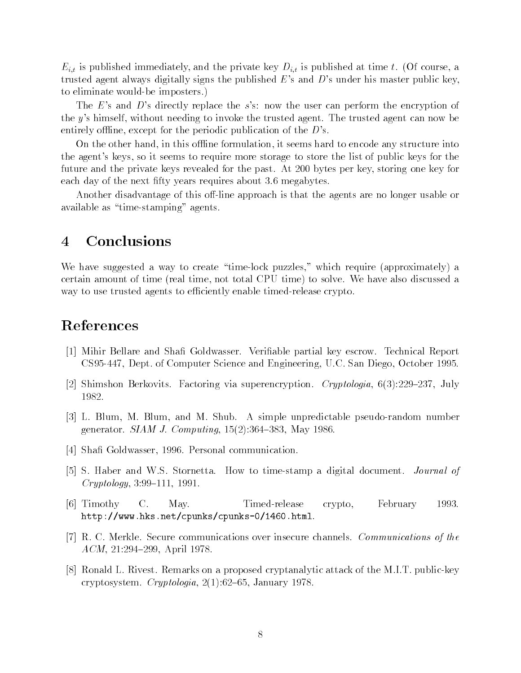$E_{i,t}$  is published immediately, and the private key  $D_{i,t}$  is published at time t. (Of course, a trusted agent always digitally signs the published  $E$ 's and  $D$ 's under his master public key, to eliminate would-be imposters.)

The E's and D's directly replace the s's: now the user can perform the encryption of the y's himself, without needing to invoke the trusted agent. The trusted agent can now be entirely offline, except for the periodic publication of the  $D$ 's.

On the other hand, in this offline formulation, it seems hard to encode any structure into the agent's keys, so it seems to require more storage to store the list of public keys for the future and the private keys revealed for the past. At 200 bytes per key, storing one key for each day of the next fifty years requires about 3.6 megabytes.

Another disadvantage of this off-line approach is that the agents are no longer usable or available as "time-stamping" agents.

#### $\overline{4}$ Conclusions

We have suggested a way to create "time-lock puzzles," which require (approximately) a certain amount of time (real time, not total CPU time) to solve. We have also discussed a way to use trusted agents to efficiently enable timed-release crypto.

## References

- [1] Mihir Bellare and Shafi Goldwasser. Verifiable partial key escrow. Technical Report coco een era era camputer parmer men omganismegi cicilome estatus era ecoci
- Shimshon Berkovits Factoring via superencryption Cryptologia July 1982.
- [3] L. Blum, M. Blum, and M. Shub. A simple unpredictable pseudo-random number generator gradual of computing except and a many resources in
- Sha Goldwasser Personal communication
- [5] S. Haber and W.S. Stornetta. How to time-stamp a digital document. *Journal of*  $Cryptology, 3.99-111, 1991.$
- [6] Timothy C. May. Timed-release crypto, February 1993. http://www.chentchpunks.pennet.org/html .pennetchpunksinetch
- R C Merkle Secure communications over insecure channels Communications of the ACM - April
- [8] Ronald L. Rivest. Remarks on a proposed cryptanalytic attack of the M.I.T. public-key cryptosystem Cryptologia January - January - January - January - January - January - January - January - January -